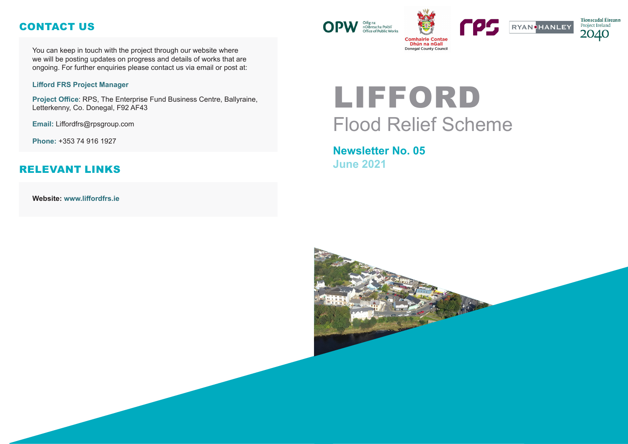# LIFFORD Flood Relief Scheme

# **Newsletter No. 05 June 2021**







You can keep in touch with the project through our website where we will be posting updates on progress and details of works that are ongoing. For further enquiries please contact us via email or post at:

#### **Lifford FRS Project Manager**

**Project Office**: RPS, The Enterprise Fund Business Centre, Ballyraine, Letterkenny, Co. Donegal, F92 AF43

**Email:** Liffordfrs@rpsgroup.com

**Phone:** +353 74 916 1927

**Website: www.liffordfrs.ie** 



## CONTACT US

#### RELEVANT LINKS